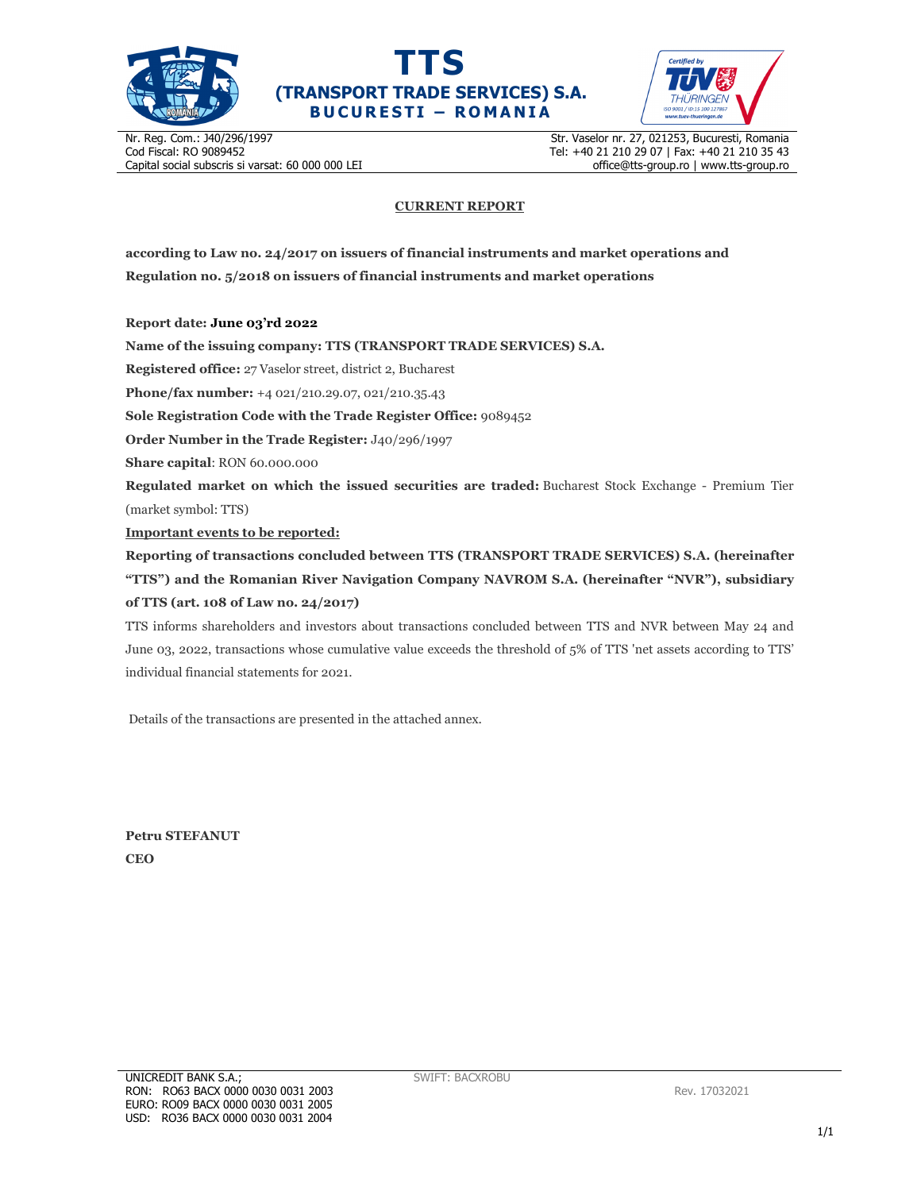





Nr. Reg. Com.: J40/296/1997 Cod Fiscal: RO 9089452 Capital social subscris si varsat: 60 000 000 LEI Str. Vaselor nr. 27, 021253, Bucuresti, Romania Tel: +40 21 210 29 07 | Fax: +40 21 210 35 43 office@tts-group.ro | www.tts-group.ro

## **CURRENT REPORT**

**according to Law no. 24/2017 on issuers of financial instruments and market operations and Regulation no. 5/2018 on issuers of financial instruments and market operations** 

**Report date: June 03'rd 2022**

**Name of the issuing company: TTS (TRANSPORT TRADE SERVICES) S.A.**

**Registered office:** 27 Vaselor street, district 2, Bucharest

**Phone/fax number:** +4 021/210.29.07, 021/210.35.43

**Sole Registration Code with the Trade Register Office:** 9089452

**Order Number in the Trade Register:** J40/296/1997

**Share capital**: RON 60.000.000

**Regulated market on which the issued securities are traded:** Bucharest Stock Exchange - Premium Tier (market symbol: TTS)

**Important events to be reported:**

**Reporting of transactions concluded between TTS (TRANSPORT TRADE SERVICES) S.A. (hereinafter "TTS") and the Romanian River Navigation Company NAVROM S.A. (hereinafter "NVR"), subsidiary of TTS (art. 108 of Law no. 24/2017)** 

TTS informs shareholders and investors about transactions concluded between TTS and NVR between May 24 and June 03, 2022, transactions whose cumulative value exceeds the threshold of 5% of TTS 'net assets according to TTS' individual financial statements for 2021.

Details of the transactions are presented in the attached annex.

**Petru STEFANUT CEO**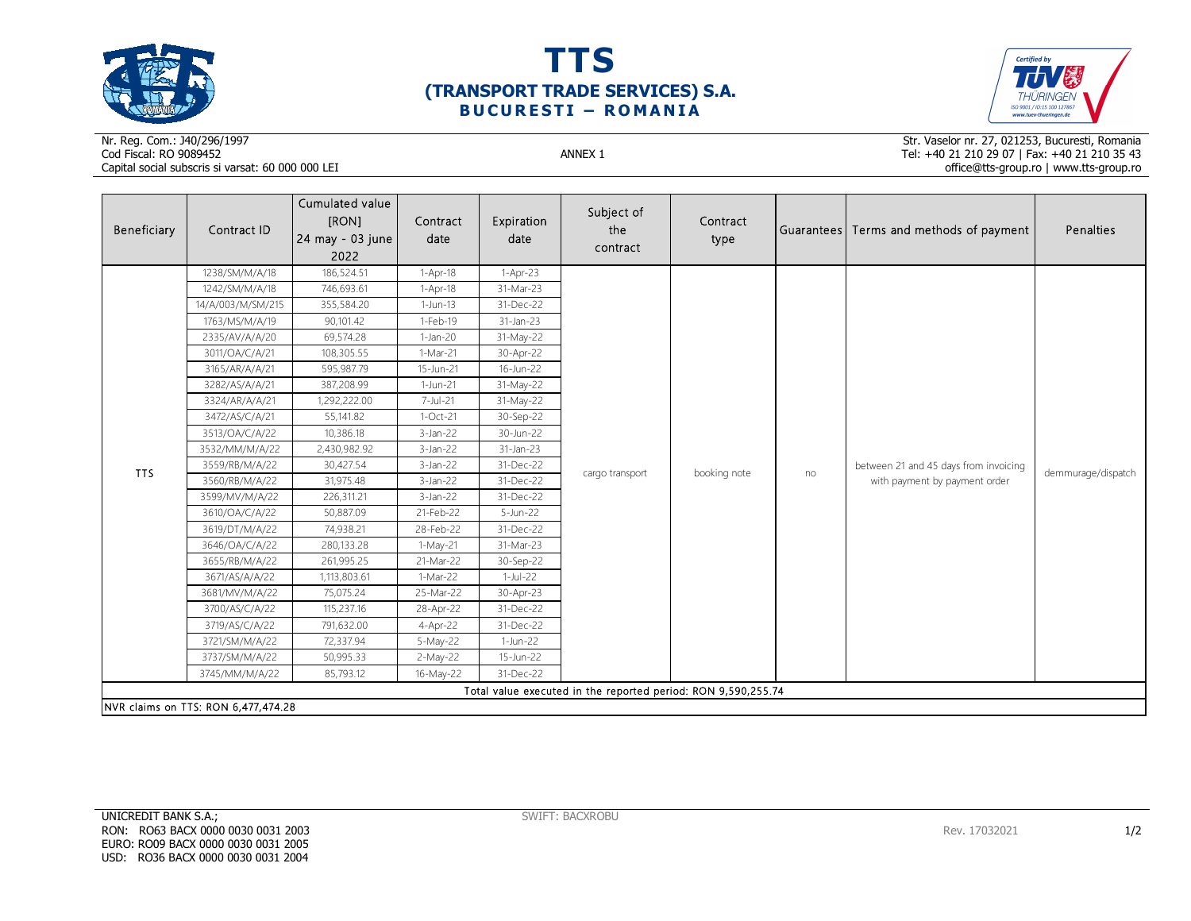





## Nr. Reg. Com.: J40/296/1997Cod Fiscal: RO 9089452 ANNEX 1 Capital social subscris si varsat: 60 000 000 LEI

Str. Vaselor nr. 27, 021253, Bucuresti, Romania Tel: +40 21 210 29 07 | Fax: +40 21 210 35 43 office@tts-group.ro | www.tts-group.ro

| Beneficiary                                                   | Contract ID                         | Cumulated value<br>[RON]<br>24 may - 03 june<br>2022 | Contract<br>date | Expiration<br>date | Subject of<br>the<br>contract | Contract<br>type |    | Guarantees Terms and methods of payment                                | Penalties          |  |  |
|---------------------------------------------------------------|-------------------------------------|------------------------------------------------------|------------------|--------------------|-------------------------------|------------------|----|------------------------------------------------------------------------|--------------------|--|--|
|                                                               | 1238/SM/M/A/18                      | 186,524.51                                           | 1-Apr-18         | $1-Apr-23$         |                               |                  | no | between 21 and 45 days from invoicing<br>with payment by payment order | demmurage/dispatch |  |  |
|                                                               | 1242/SM/M/A/18                      | 746,693.61                                           | 1-Apr-18         | 31-Mar-23          |                               |                  |    |                                                                        |                    |  |  |
|                                                               | 14/A/003/M/SM/215                   | 355,584.20                                           | 1-Jun-13         | 31-Dec-22          |                               |                  |    |                                                                        |                    |  |  |
|                                                               | 1763/MS/M/A/19                      | 90,101.42                                            | $1-Feb-19$       | 31-Jan-23          |                               |                  |    |                                                                        |                    |  |  |
|                                                               | 2335/AV/A/A/20                      | 69,574.28                                            | $1-Jan-20$       | 31-May-22          |                               |                  |    |                                                                        |                    |  |  |
|                                                               | 3011/OA/C/A/21                      | 108,305.55                                           | 1-Mar-21         | 30-Apr-22          |                               |                  |    |                                                                        |                    |  |  |
|                                                               | 3165/AR/A/A/21                      | 595,987.79                                           | 15-Jun-21        | 16-Jun-22          |                               |                  |    |                                                                        |                    |  |  |
|                                                               | 3282/AS/A/A/21                      | 387,208.99                                           | 1-Jun-21         | 31-May-22          |                               |                  |    |                                                                        |                    |  |  |
|                                                               | 3324/AR/A/A/21                      | 1,292,222.00                                         | 7-Jul-21         | 31-May-22          |                               |                  |    |                                                                        |                    |  |  |
|                                                               | 3472/AS/C/A/21                      | 55,141.82                                            | 1-Oct-21         | 30-Sep-22          |                               |                  |    |                                                                        |                    |  |  |
|                                                               | 3513/OA/C/A/22                      | 10,386.18                                            | $3-Jan-22$       | 30-Jun-22          | cargo transport               |                  |    |                                                                        |                    |  |  |
|                                                               | 3532/MM/M/A/22                      | 2,430,982.92                                         | $3-Jan-22$       | 31-Jan-23          |                               | booking note     |    |                                                                        |                    |  |  |
| <b>TTS</b>                                                    | 3559/RB/M/A/22                      | 30,427.54                                            | $3$ -Jan-22      | 31-Dec-22          |                               |                  |    |                                                                        |                    |  |  |
|                                                               | 3560/RB/M/A/22                      | 31,975.48                                            | $3-Jan-22$       | 31-Dec-22          |                               |                  |    |                                                                        |                    |  |  |
|                                                               | 3599/MV/M/A/22                      | 226,311.21                                           | $3-Jan-22$       | 31-Dec-22          |                               |                  |    |                                                                        |                    |  |  |
|                                                               | 3610/OA/C/A/22                      | 50,887.09                                            | 21-Feb-22        | 5-Jun-22           |                               |                  |    |                                                                        |                    |  |  |
|                                                               | 3619/DT/M/A/22                      | 74,938.21                                            | 28-Feb-22        | 31-Dec-22          |                               |                  |    |                                                                        |                    |  |  |
|                                                               | 3646/OA/C/A/22                      | 280,133.28                                           | 1-May-21         | 31-Mar-23          |                               |                  |    |                                                                        |                    |  |  |
|                                                               | 3655/RB/M/A/22                      | 261,995.25                                           | 21-Mar-22        | 30-Sep-22          |                               |                  |    |                                                                        |                    |  |  |
|                                                               | 3671/AS/A/A/22                      | 1,113,803.61                                         | 1-Mar-22         | $1-Jul-22$         |                               |                  |    |                                                                        |                    |  |  |
|                                                               | 3681/MV/M/A/22                      | 75,075.24                                            | 25-Mar-22        | 30-Apr-23          |                               |                  |    |                                                                        |                    |  |  |
|                                                               | 3700/AS/C/A/22                      | 115,237.16                                           | 28-Apr-22        | 31-Dec-22          |                               |                  |    |                                                                        |                    |  |  |
|                                                               | 3719/AS/C/A/22                      | 791,632.00                                           | 4-Apr-22         | 31-Dec-22          |                               |                  |    |                                                                        |                    |  |  |
|                                                               | 3721/SM/M/A/22                      | 72,337.94                                            | 5-May-22         | 1-Jun-22           |                               |                  |    |                                                                        |                    |  |  |
|                                                               | 3737/SM/M/A/22                      | 50,995.33                                            | 2-May-22         | 15-Jun-22          |                               |                  |    |                                                                        |                    |  |  |
|                                                               | 3745/MM/M/A/22                      | 85,793.12                                            | 16-May-22        | 31-Dec-22          |                               |                  |    |                                                                        |                    |  |  |
| Total value executed in the reported period: RON 9,590,255.74 |                                     |                                                      |                  |                    |                               |                  |    |                                                                        |                    |  |  |
|                                                               | NVR claims on TTS: RON 6,477,474.28 |                                                      |                  |                    |                               |                  |    |                                                                        |                    |  |  |